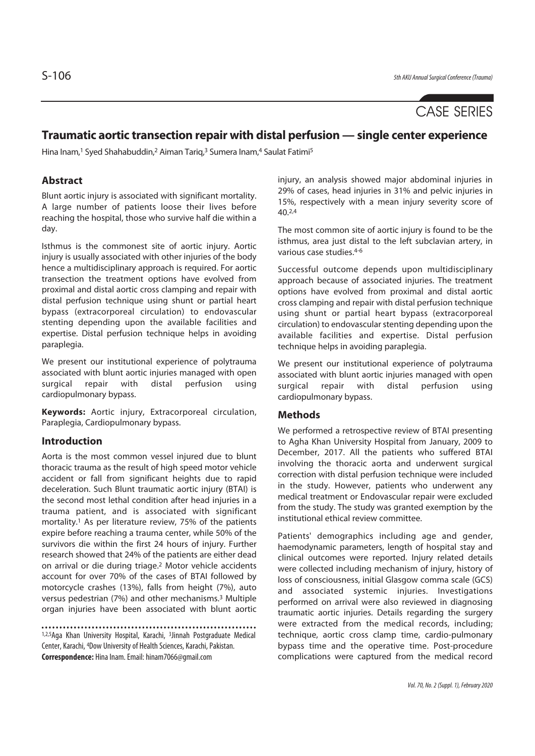# CASE SERIES

# **Traumatic aortic transection repair with distal perfusion — single center experience**

Hina Inam,<sup>1</sup> Syed Shahabuddin,<sup>2</sup> Aiman Tariq,<sup>3</sup> Sumera Inam,<sup>4</sup> Saulat Fatimi<sup>5</sup>

## **Abstract**

Blunt aortic injury is associated with significant mortality. A large number of patients loose their lives before reaching the hospital, those who survive half die within a day.

Isthmus is the commonest site of aortic injury. Aortic injury is usually associated with other injuries of the body hence a multidisciplinary approach is required. For aortic transection the treatment options have evolved from proximal and distal aortic cross clamping and repair with distal perfusion technique using shunt or partial heart bypass (extracorporeal circulation) to endovascular stenting depending upon the available facilities and expertise. Distal perfusion technique helps in avoiding paraplegia.

We present our institutional experience of polytrauma associated with blunt aortic injuries managed with open surgical repair with distal perfusion using cardiopulmonary bypass.

**Keywords:** Aortic injury, Extracorporeal circulation, Paraplegia, Cardiopulmonary bypass.

#### **Introduction**

Aorta is the most common vessel injured due to blunt thoracic trauma as the result of high speed motor vehicle accident or fall from significant heights due to rapid deceleration. Such Blunt traumatic aortic injury (BTAI) is the second most lethal condition after head injuries in a trauma patient, and is associated with significant mortality.1 As per literature review, 75% of the patients expire before reaching a trauma center, while 50% of the survivors die within the first 24 hours of injury. Further research showed that 24% of the patients are either dead on arrival or die during triage.2 Motor vehicle accidents account for over 70% of the cases of BTAI followed by motorcycle crashes (13%), falls from height (7%), auto versus pedestrian (7%) and other mechanisms.3 Multiple organ injuries have been associated with blunt aortic

1,2,5Aga Khan University Hospital, Karachi, 3Jinnah Postgraduate Medical Center, Karachi, 4Dow University of Health Sciences, Karachi, Pakistan. **Correspondence:** Hina Inam. Email: hinam7066@gmail.com

injury, an analysis showed major abdominal injuries in 29% of cases, head injuries in 31% and pelvic injuries in 15%, respectively with a mean injury severity score of  $40.2,4$ 

The most common site of aortic injury is found to be the isthmus, area just distal to the left subclavian artery, in various case studies.4-6

Successful outcome depends upon multidisciplinary approach because of associated injuries. The treatment options have evolved from proximal and distal aortic cross clamping and repair with distal perfusion technique using shunt or partial heart bypass (extracorporeal circulation) to endovascular stenting depending upon the available facilities and expertise. Distal perfusion technique helps in avoiding paraplegia.

We present our institutional experience of polytrauma associated with blunt aortic injuries managed with open surgical repair with distal perfusion using cardiopulmonary bypass.

#### **Methods**

We performed a retrospective review of BTAI presenting to Agha Khan University Hospital from January, 2009 to December, 2017. All the patients who suffered BTAI involving the thoracic aorta and underwent surgical correction with distal perfusion technique were included in the study. However, patients who underwent any medical treatment or Endovascular repair were excluded from the study. The study was granted exemption by the institutional ethical review committee.

Patients' demographics including age and gender, haemodynamic parameters, length of hospital stay and clinical outcomes were reported. Injury related details were collected including mechanism of injury, history of loss of consciousness, initial Glasgow comma scale (GCS) and associated systemic injuries. Investigations performed on arrival were also reviewed in diagnosing traumatic aortic injuries. Details regarding the surgery were extracted from the medical records, including; technique, aortic cross clamp time, cardio-pulmonary bypass time and the operative time. Post-procedure complications were captured from the medical record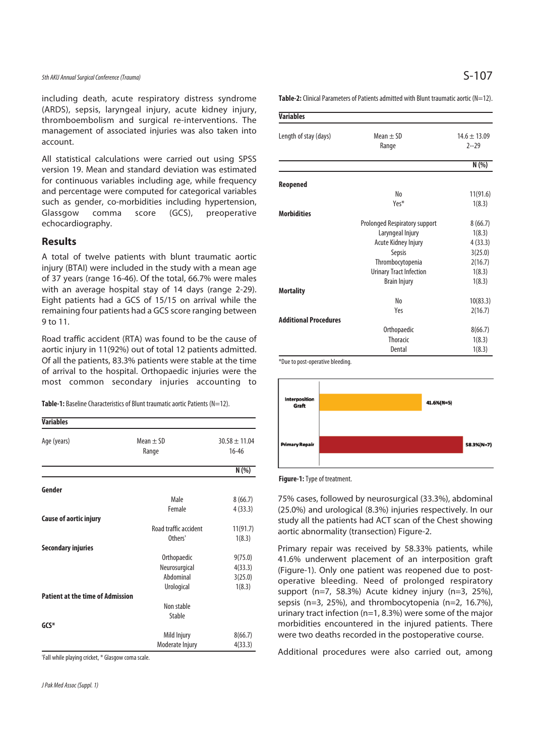### 5th AKU Annual Surgical Conference (Trauma)  $S-107$

including death, acute respiratory distress syndrome (ARDS), sepsis, laryngeal injury, acute kidney injury, thromboembolism and surgical re-interventions. The management of associated injuries was also taken into account.

All statistical calculations were carried out using SPSS version 19. Mean and standard deviation was estimated for continuous variables including age, while frequency and percentage were computed for categorical variables such as gender, co-morbidities including hypertension, Glassgow comma score (GCS), preoperative echocardiography.

#### **Results**

A total of twelve patients with blunt traumatic aortic injury (BTAI) were included in the study with a mean age of 37 years (range 16-46). Of the total, 66.7% were males with an average hospital stay of 14 days (range 2-29). Eight patients had a GCS of 15/15 on arrival while the remaining four patients had a GCS score ranging between 9 to 11.

Road traffic accident (RTA) was found to be the cause of aortic injury in 11(92%) out of total 12 patients admitted. Of all the patients, 83.3% patients were stable at the time of arrival to the hospital. Orthopaedic injuries were the most common secondary injuries accounting to

**Table-1:** Baseline Characteristics of Blunt traumatic aortic Patients (N=12).

| <b>Variables</b>                        |                        |                                |
|-----------------------------------------|------------------------|--------------------------------|
| Age (years)                             | Mean $\pm$ SD<br>Range | $30.58 \pm 11.04$<br>$16 - 46$ |
|                                         |                        | N(%)                           |
| Gender                                  |                        |                                |
|                                         | Male                   | 8(66.7)                        |
|                                         | Female                 | 4(33.3)                        |
| <b>Cause of aortic injury</b>           |                        |                                |
|                                         | Road traffic accident  | 11(91.7)                       |
|                                         | Others'                | 1(8.3)                         |
| <b>Secondary injuries</b>               |                        |                                |
|                                         | Orthopaedic            | 9(75.0)                        |
|                                         | Neurosurgical          | 4(33.3)                        |
|                                         | Abdominal              | 3(25.0)                        |
|                                         | Urological             | 1(8.3)                         |
| <b>Patient at the time of Admission</b> |                        |                                |
|                                         | Non stable             |                                |
|                                         | Stable                 |                                |
| $GCS*$                                  |                        |                                |
|                                         | Mild Injury            | 8(66.7)                        |
|                                         | Moderate Injury        | 4(33.3)                        |

'Fall while playing cricket, \* Glasgow coma scale.

**Table-2:** Clinical Parameters of Patients admitted with Blunt traumatic aortic (N=12).

| <b>Variables</b>             |                                |                              |
|------------------------------|--------------------------------|------------------------------|
| Length of stay (days)        | Mean $\pm$ SD<br>Range         | $14.6 \pm 13.09$<br>$2 - 29$ |
|                              |                                | N(%)                         |
| Reopened                     |                                |                              |
|                              | No                             | 11(91.6)                     |
|                              | Yes*                           | 1(8.3)                       |
| <b>Morbidities</b>           |                                |                              |
|                              | Prolonged Respiratory support  | 8(66.7)                      |
|                              | Laryngeal Injury               | 1(8.3)                       |
|                              | Acute Kidney Injury            | 4(33.3)                      |
|                              | Sepsis                         | 3(25.0)                      |
|                              | Thrombocytopenia               | 2(16.7)                      |
|                              | <b>Urinary Tract Infection</b> | 1(8.3)                       |
|                              | <b>Brain Injury</b>            | 1(8.3)                       |
| <b>Mortality</b>             |                                |                              |
|                              | N <sub>0</sub>                 | 10(83.3)                     |
|                              | Yes                            | 2(16.7)                      |
| <b>Additional Procedures</b> |                                |                              |
|                              | Orthopaedic                    | 8(66.7)                      |
|                              | <b>Thoracic</b>                | 1(8.3)                       |
|                              | Dental                         | 1(8.3)                       |

\*Due to post-operative bleeding.



**Figure-1:** Type of treatment.

75% cases, followed by neurosurgical (33.3%), abdominal (25.0%) and urological (8.3%) injuries respectively. In our study all the patients had ACT scan of the Chest showing aortic abnormality (transection) Figure-2.

Primary repair was received by 58.33% patients, while 41.6% underwent placement of an interposition graft (Figure-1). Only one patient was reopened due to postoperative bleeding. Need of prolonged respiratory support (n=7, 58.3%) Acute kidney injury (n=3, 25%), sepsis (n=3, 25%), and thrombocytopenia (n=2, 16.7%), urinary tract infection (n=1, 8.3%) were some of the major morbidities encountered in the injured patients. There were two deaths recorded in the postoperative course.

Additional procedures were also carried out, among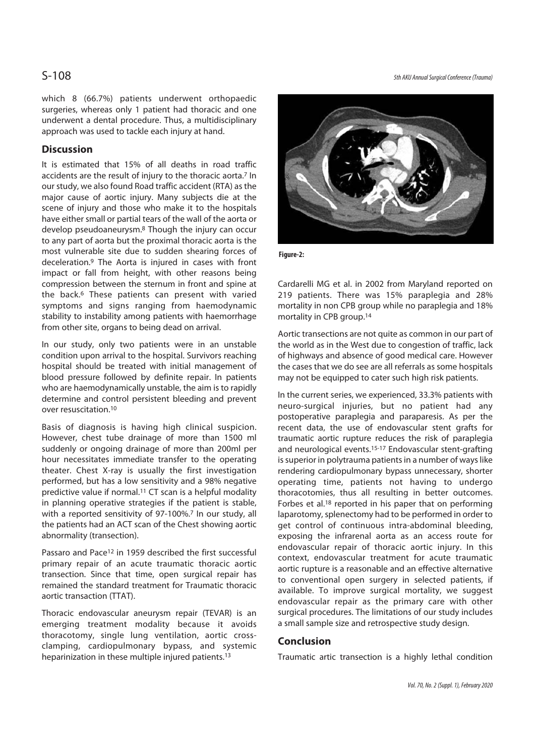which 8 (66.7%) patients underwent orthopaedic surgeries, whereas only 1 patient had thoracic and one underwent a dental procedure. Thus, a multidisciplinary approach was used to tackle each injury at hand.

#### **Discussion**

It is estimated that 15% of all deaths in road traffic accidents are the result of injury to the thoracic aorta.7 In our study, we also found Road traffic accident (RTA) as the major cause of aortic injury. Many subjects die at the scene of injury and those who make it to the hospitals have either small or partial tears of the wall of the aorta or develop pseudoaneurysm.8 Though the injury can occur to any part of aorta but the proximal thoracic aorta is the most vulnerable site due to sudden shearing forces of deceleration.9 The Aorta is injured in cases with front impact or fall from height, with other reasons being compression between the sternum in front and spine at the back.6 These patients can present with varied symptoms and signs ranging from haemodynamic stability to instability among patients with haemorrhage from other site, organs to being dead on arrival.

In our study, only two patients were in an unstable condition upon arrival to the hospital. Survivors reaching hospital should be treated with initial management of blood pressure followed by definite repair. In patients who are haemodynamically unstable, the aim is to rapidly determine and control persistent bleeding and prevent over resuscitation.10

Basis of diagnosis is having high clinical suspicion. However, chest tube drainage of more than 1500 ml suddenly or ongoing drainage of more than 200ml per hour necessitates immediate transfer to the operating theater. Chest X-ray is usually the first investigation performed, but has a low sensitivity and a 98% negative predictive value if normal.11 CT scan is a helpful modality in planning operative strategies if the patient is stable, with a reported sensitivity of 97-100%.<sup>7</sup> In our study, all the patients had an ACT scan of the Chest showing aortic abnormality (transection).

Passaro and Pace12 in 1959 described the first successful primary repair of an acute traumatic thoracic aortic transection. Since that time, open surgical repair has remained the standard treatment for Traumatic thoracic aortic transaction (TTAT).

Thoracic endovascular aneurysm repair (TEVAR) is an emerging treatment modality because it avoids thoracotomy, single lung ventilation, aortic crossclamping, cardiopulmonary bypass, and systemic heparinization in these multiple injured patients.13

S-108 5th AKU Annual Surgical Conference (Trauma)



**Figure-2:** 

Cardarelli MG et al. in 2002 from Maryland reported on 219 patients. There was 15% paraplegia and 28% mortality in non CPB group while no paraplegia and 18% mortality in CPB group.14

Aortic transections are not quite as common in our part of the world as in the West due to congestion of traffic, lack of highways and absence of good medical care. However the cases that we do see are all referrals as some hospitals may not be equipped to cater such high risk patients.

In the current series, we experienced, 33.3% patients with neuro-surgical injuries, but no patient had any postoperative paraplegia and paraparesis. As per the recent data, the use of endovascular stent grafts for traumatic aortic rupture reduces the risk of paraplegia and neurological events.<sup>15-17</sup> Endovascular stent-grafting is superior in polytrauma patients in a number of ways like rendering cardiopulmonary bypass unnecessary, shorter operating time, patients not having to undergo thoracotomies, thus all resulting in better outcomes. Forbes et al.18 reported in his paper that on performing laparotomy, splenectomy had to be performed in order to get control of continuous intra-abdominal bleeding, exposing the infrarenal aorta as an access route for endovascular repair of thoracic aortic injury. In this context, endovascular treatment for acute traumatic aortic rupture is a reasonable and an effective alternative to conventional open surgery in selected patients, if available. To improve surgical mortality, we suggest endovascular repair as the primary care with other surgical procedures. The limitations of our study includes a small sample size and retrospective study design.

#### **Conclusion**

Traumatic artic transection is a highly lethal condition